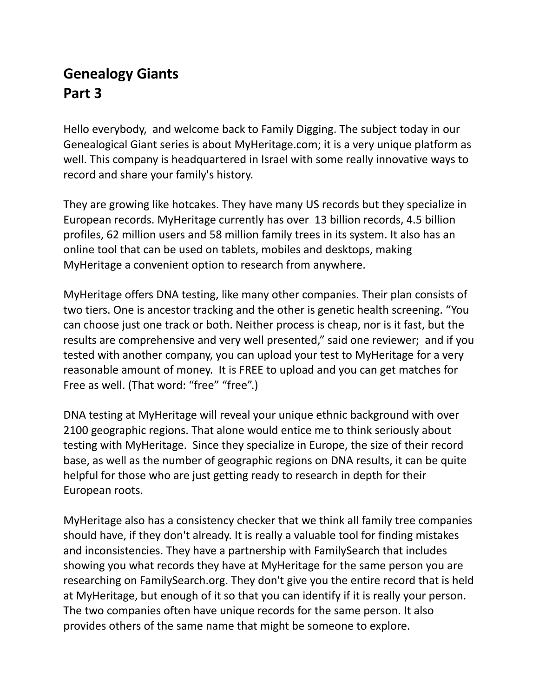# **Genealogy Giants Part 3**

Hello everybody, and welcome back to Family Digging. The subject today in our Genealogical Giant series is about MyHeritage.com; it is a very unique platform as well. This company is headquartered in Israel with some really innovative ways to record and share your family's history.

They are growing like hotcakes. They have many US records but they specialize in European records. MyHeritage currently has over 13 billion records, 4.5 billion profiles, 62 million users and 58 million family trees in its system. It also has an online tool that can be used on tablets, mobiles and desktops, making MyHeritage a convenient option to research from anywhere.

MyHeritage offers DNA testing, like many other companies. Their plan consists of two tiers. One is ancestor tracking and the other is genetic health screening. "You can choose just one track or both. Neither process is cheap, nor is it fast, but the results are comprehensive and very well presented," said one reviewer; and if you tested with another company, you can upload your test to MyHeritage for a very reasonable amount of money. It is FREE to upload and you can get matches for Free as well. (That word: "free" "free".)

DNA testing at MyHeritage will reveal your unique ethnic background with over 2100 geographic regions. That alone would entice me to think seriously about testing with MyHeritage. Since they specialize in Europe, the size of their record base, as well as the number of geographic regions on DNA results, it can be quite helpful for those who are just getting ready to research in depth for their European roots.

MyHeritage also has a consistency checker that we think all family tree companies should have, if they don't already. It is really a valuable tool for finding mistakes and inconsistencies. They have a partnership with FamilySearch that includes showing you what records they have at MyHeritage for the same person you are researching on FamilySearch.org. They don't give you the entire record that is held at MyHeritage, but enough of it so that you can identify if it is really your person. The two companies often have unique records for the same person. It also provides others of the same name that might be someone to explore.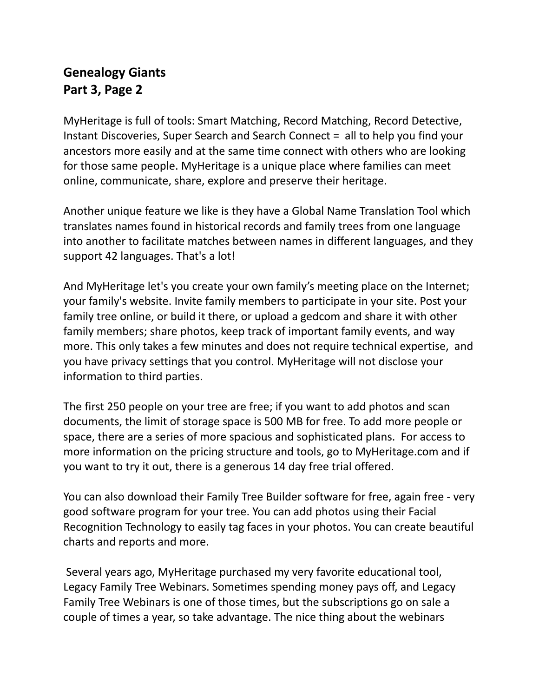## **Genealogy Giants Part 3, Page 2**

MyHeritage is full of tools: Smart Matching, Record Matching, Record Detective, Instant Discoveries, Super Search and Search Connect = all to help you find your ancestors more easily and at the same time connect with others who are looking for those same people. MyHeritage is a unique place where families can meet online, communicate, share, explore and preserve their heritage.

Another unique feature we like is they have a Global Name Translation Tool which translates names found in historical records and family trees from one language into another to facilitate matches between names in different languages, and they support 42 languages. That's a lot!

And MyHeritage let's you create your own family's meeting place on the Internet; your family's website. Invite family members to participate in your site. Post your family tree online, or build it there, or upload a gedcom and share it with other family members; share photos, keep track of important family events, and way more. This only takes a few minutes and does not require technical expertise, and you have privacy settings that you control. MyHeritage will not disclose your information to third parties.

The first 250 people on your tree are free; if you want to add photos and scan documents, the limit of storage space is 500 MB for free. To add more people or space, there are a series of more spacious and sophisticated plans. For access to more information on the pricing structure and tools, go to MyHeritage.com and if you want to try it out, there is a generous 14 day free trial offered.

You can also download their Family Tree Builder software for free, again free - very good software program for your tree. You can add photos using their Facial Recognition Technology to easily tag faces in your photos. You can create beautiful charts and reports and more.

Several years ago, MyHeritage purchased my very favorite educational tool, Legacy Family Tree Webinars. Sometimes spending money pays off, and Legacy Family Tree Webinars is one of those times, but the subscriptions go on sale a couple of times a year, so take advantage. The nice thing about the webinars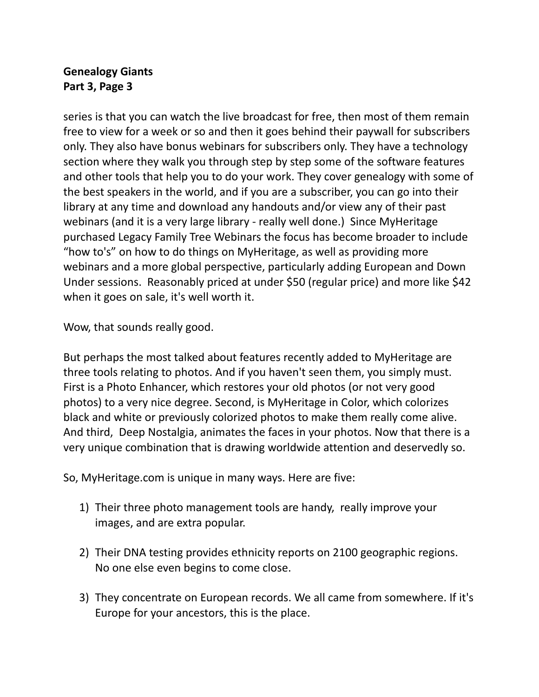## **Genealogy Giants Part 3, Page 3**

series is that you can watch the live broadcast for free, then most of them remain free to view for a week or so and then it goes behind their paywall for subscribers only. They also have bonus webinars for subscribers only. They have a technology section where they walk you through step by step some of the software features and other tools that help you to do your work. They cover genealogy with some of the best speakers in the world, and if you are a subscriber, you can go into their library at any time and download any handouts and/or view any of their past webinars (and it is a very large library - really well done.) Since MyHeritage purchased Legacy Family Tree Webinars the focus has become broader to include "how to's" on how to do things on MyHeritage, as well as providing more webinars and a more global perspective, particularly adding European and Down Under sessions. Reasonably priced at under \$50 (regular price) and more like \$42 when it goes on sale, it's well worth it.

Wow, that sounds really good.

But perhaps the most talked about features recently added to MyHeritage are three tools relating to photos. And if you haven't seen them, you simply must. First is a Photo Enhancer, which restores your old photos (or not very good photos) to a very nice degree. Second, is MyHeritage in Color, which colorizes black and white or previously colorized photos to make them really come alive. And third, Deep Nostalgia, animates the faces in your photos. Now that there is a very unique combination that is drawing worldwide attention and deservedly so.

So, MyHeritage.com is unique in many ways. Here are five:

- 1) Their three photo management tools are handy, really improve your images, and are extra popular.
- 2) Their DNA testing provides ethnicity reports on 2100 geographic regions. No one else even begins to come close.
- 3) They concentrate on European records. We all came from somewhere. If it's Europe for your ancestors, this is the place.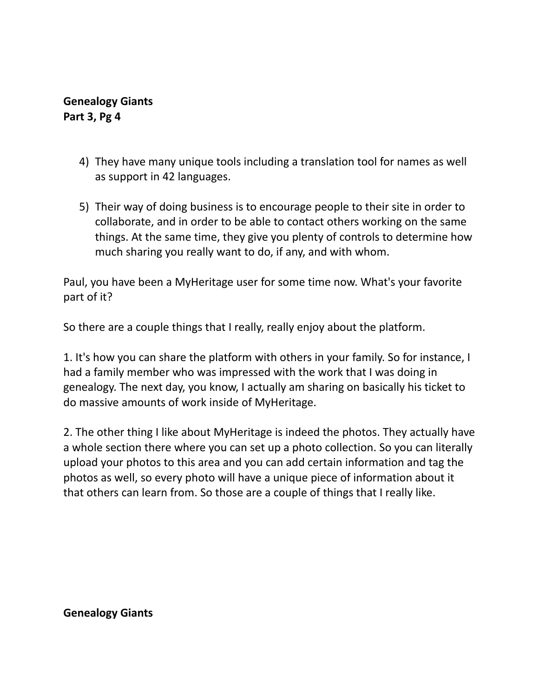### **Genealogy Giants Part 3, Pg 4**

- 4) They have many unique tools including a translation tool for names as well as support in 42 languages.
- 5) Their way of doing business is to encourage people to their site in order to collaborate, and in order to be able to contact others working on the same things. At the same time, they give you plenty of controls to determine how much sharing you really want to do, if any, and with whom.

Paul, you have been a MyHeritage user for some time now. What's your favorite part of it?

So there are a couple things that I really, really enjoy about the platform.

1. It's how you can share the platform with others in your family. So for instance, I had a family member who was impressed with the work that I was doing in genealogy. The next day, you know, I actually am sharing on basically his ticket to do massive amounts of work inside of MyHeritage.

2. The other thing I like about MyHeritage is indeed the photos. They actually have a whole section there where you can set up a photo collection. So you can literally upload your photos to this area and you can add certain information and tag the photos as well, so every photo will have a unique piece of information about it that others can learn from. So those are a couple of things that I really like.

**Genealogy Giants**